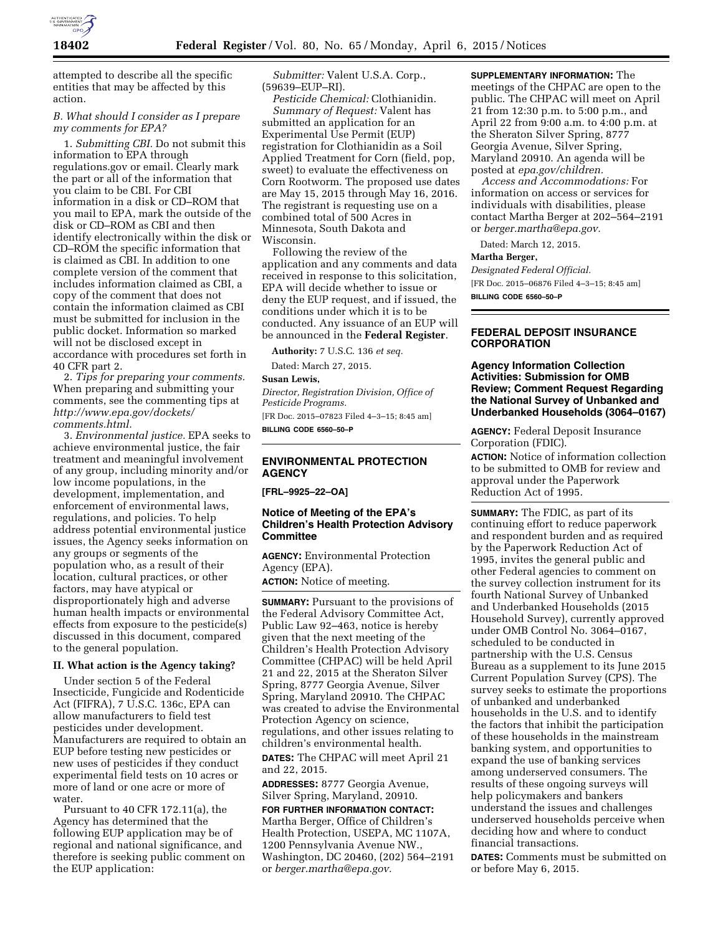

attempted to describe all the specific entities that may be affected by this action.

# *B. What should I consider as I prepare my comments for EPA?*

1. *Submitting CBI.* Do not submit this information to EPA through regulations.gov or email. Clearly mark the part or all of the information that you claim to be CBI. For CBI information in a disk or CD–ROM that you mail to EPA, mark the outside of the disk or CD–ROM as CBI and then identify electronically within the disk or CD–ROM the specific information that is claimed as CBI. In addition to one complete version of the comment that includes information claimed as CBI, a copy of the comment that does not contain the information claimed as CBI must be submitted for inclusion in the public docket. Information so marked will not be disclosed except in accordance with procedures set forth in 40 CFR part 2.

2. *Tips for preparing your comments.*  When preparing and submitting your comments, see the commenting tips at *[http://www.epa.gov/dockets/](http://www.epa.gov/dockets/comments.html) [comments.html.](http://www.epa.gov/dockets/comments.html)* 

3. *Environmental justice.* EPA seeks to achieve environmental justice, the fair treatment and meaningful involvement of any group, including minority and/or low income populations, in the development, implementation, and enforcement of environmental laws, regulations, and policies. To help address potential environmental justice issues, the Agency seeks information on any groups or segments of the population who, as a result of their location, cultural practices, or other factors, may have atypical or disproportionately high and adverse human health impacts or environmental effects from exposure to the pesticide(s) discussed in this document, compared to the general population.

### **II. What action is the Agency taking?**

Under section 5 of the Federal Insecticide, Fungicide and Rodenticide Act (FIFRA), 7 U.S.C. 136c, EPA can allow manufacturers to field test pesticides under development. Manufacturers are required to obtain an EUP before testing new pesticides or new uses of pesticides if they conduct experimental field tests on 10 acres or more of land or one acre or more of water.

Pursuant to 40 CFR 172.11(a), the Agency has determined that the following EUP application may be of regional and national significance, and therefore is seeking public comment on the EUP application:

*Submitter:* Valent U.S.A. Corp., (59639–EUP–RI).

*Pesticide Chemical:* Clothianidin. *Summary of Request:* Valent has submitted an application for an Experimental Use Permit (EUP) registration for Clothianidin as a Soil Applied Treatment for Corn (field, pop, sweet) to evaluate the effectiveness on Corn Rootworm. The proposed use dates are May 15, 2015 through May 16, 2016. The registrant is requesting use on a combined total of 500 Acres in Minnesota, South Dakota and Wisconsin.

Following the review of the application and any comments and data received in response to this solicitation, EPA will decide whether to issue or deny the EUP request, and if issued, the conditions under which it is to be conducted. Any issuance of an EUP will be announced in the **Federal Register**.

**Authority:** 7 U.S.C. 136 *et seq.* 

Dated: March 27, 2015.

**Susan Lewis,** 

*Director, Registration Division, Office of Pesticide Programs.*  [FR Doc. 2015–07823 Filed 4–3–15; 8:45 am]

**BILLING CODE 6560–50–P** 

## **ENVIRONMENTAL PROTECTION AGENCY**

**[FRL–9925–22–OA]** 

# **Notice of Meeting of the EPA's Children's Health Protection Advisory Committee**

**AGENCY:** Environmental Protection Agency (EPA).

**ACTION:** Notice of meeting.

**SUMMARY:** Pursuant to the provisions of the Federal Advisory Committee Act, Public Law 92–463, notice is hereby given that the next meeting of the Children's Health Protection Advisory Committee (CHPAC) will be held April 21 and 22, 2015 at the Sheraton Silver Spring, 8777 Georgia Avenue, Silver Spring, Maryland 20910. The CHPAC was created to advise the Environmental Protection Agency on science, regulations, and other issues relating to children's environmental health.

**DATES:** The CHPAC will meet April 21 and 22, 2015.

**ADDRESSES:** 8777 Georgia Avenue, Silver Spring, Maryland, 20910.

**FOR FURTHER INFORMATION CONTACT:**  Martha Berger, Office of Children's Health Protection, USEPA, MC 1107A, 1200 Pennsylvania Avenue NW., Washington, DC 20460, (202) 564–2191 or *[berger.martha@epa.gov.](mailto:berger.martha@epa.gov)* 

**SUPPLEMENTARY INFORMATION:** The meetings of the CHPAC are open to the public. The CHPAC will meet on April 21 from 12:30 p.m. to 5:00 p.m., and April 22 from 9:00 a.m. to 4:00 p.m. at the Sheraton Silver Spring, 8777 Georgia Avenue, Silver Spring, Maryland 20910. An agenda will be posted at *epa.gov/children.* 

*Access and Accommodations:* For information on access or services for individuals with disabilities, please contact Martha Berger at 202–564–2191 or *[berger.martha@epa.gov.](mailto:berger.martha@epa.gov)* 

Dated: March 12, 2015.

#### **Martha Berger,**

*Designated Federal Official.*  [FR Doc. 2015–06876 Filed 4–3–15; 8:45 am] **BILLING CODE 6560–50–P** 

# **FEDERAL DEPOSIT INSURANCE CORPORATION**

# **Agency Information Collection Activities: Submission for OMB Review; Comment Request Regarding the National Survey of Unbanked and Underbanked Households (3064–0167)**

**AGENCY:** Federal Deposit Insurance Corporation (FDIC).

**ACTION:** Notice of information collection to be submitted to OMB for review and approval under the Paperwork Reduction Act of 1995.

**SUMMARY:** The FDIC, as part of its continuing effort to reduce paperwork and respondent burden and as required by the Paperwork Reduction Act of 1995, invites the general public and other Federal agencies to comment on the survey collection instrument for its fourth National Survey of Unbanked and Underbanked Households (2015 Household Survey), currently approved under OMB Control No. 3064–0167, scheduled to be conducted in partnership with the U.S. Census Bureau as a supplement to its June 2015 Current Population Survey (CPS). The survey seeks to estimate the proportions of unbanked and underbanked households in the U.S. and to identify the factors that inhibit the participation of these households in the mainstream banking system, and opportunities to expand the use of banking services among underserved consumers. The results of these ongoing surveys will help policymakers and bankers understand the issues and challenges underserved households perceive when deciding how and where to conduct financial transactions.

**DATES:** Comments must be submitted on or before May 6, 2015.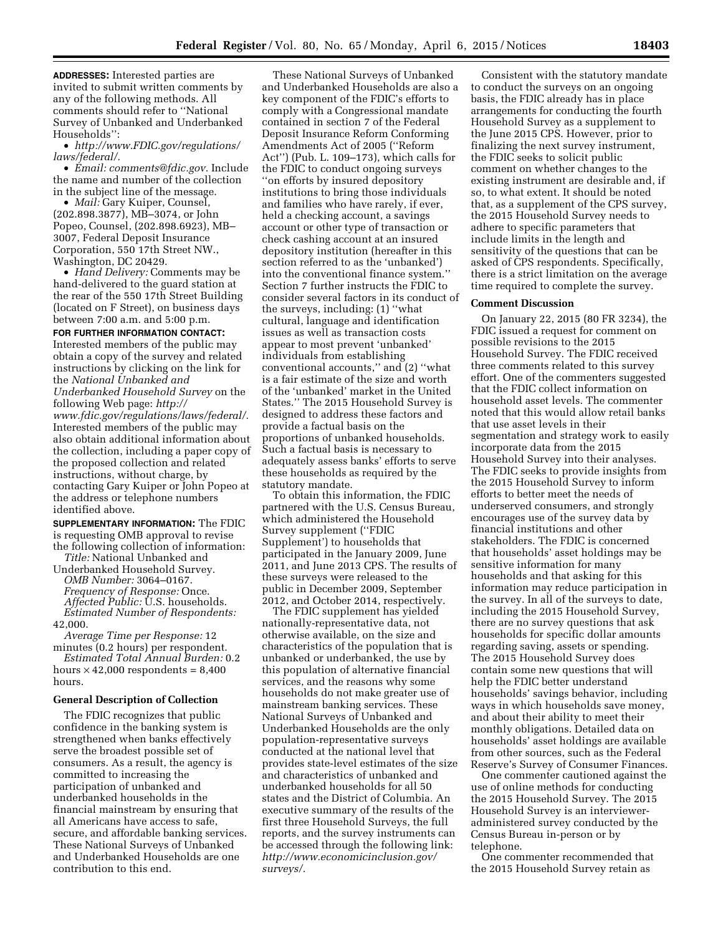**ADDRESSES:** Interested parties are invited to submit written comments by any of the following methods. All comments should refer to ''National Survey of Unbanked and Underbanked Households'':

• *[http://www.FDIC.gov/regulations/](http://www.FDIC.gov/regulations/laws/federal/) [laws/federal/.](http://www.FDIC.gov/regulations/laws/federal/)* 

• *Email: [comments@fdic.gov.](mailto:comments@fdic.gov)* Include the name and number of the collection in the subject line of the message.

• *Mail:* Gary Kuiper, Counsel, (202.898.3877), MB–3074, or John Popeo, Counsel, (202.898.6923), MB– 3007, Federal Deposit Insurance Corporation, 550 17th Street NW., Washington, DC 20429.

• *Hand Delivery:* Comments may be hand-delivered to the guard station at the rear of the 550 17th Street Building (located on F Street), on business days between 7:00 a.m. and 5:00 p.m.

**FOR FURTHER INFORMATION CONTACT:**  Interested members of the public may obtain a copy of the survey and related instructions by clicking on the link for the *National Unbanked and Underbanked Household Survey* on the following Web page: *[http://](http://www.fdic.gov/regulations/laws/federal/) [www.fdic.gov/regulations/laws/federal/.](http://www.fdic.gov/regulations/laws/federal/)*  Interested members of the public may also obtain additional information about the collection, including a paper copy of the proposed collection and related instructions, without charge, by contacting Gary Kuiper or John Popeo at the address or telephone numbers identified above.

**SUPPLEMENTARY INFORMATION:** The FDIC is requesting OMB approval to revise the following collection of information:

*Title:* National Unbanked and Underbanked Household Survey.

*OMB Number:* 3064–0167. *Frequency of Response:* Once. *Affected Public:* U.S. households. *Estimated Number of Respondents:* 

42,000. *Average Time per Response:* 12 minutes (0.2 hours) per respondent.

*Estimated Total Annual Burden:* 0.2 hours  $\times$  42,000 respondents = 8,400 hours.

#### **General Description of Collection**

The FDIC recognizes that public confidence in the banking system is strengthened when banks effectively serve the broadest possible set of consumers. As a result, the agency is committed to increasing the participation of unbanked and underbanked households in the financial mainstream by ensuring that all Americans have access to safe, secure, and affordable banking services. These National Surveys of Unbanked and Underbanked Households are one contribution to this end.

These National Surveys of Unbanked and Underbanked Households are also a key component of the FDIC's efforts to comply with a Congressional mandate contained in section 7 of the Federal Deposit Insurance Reform Conforming Amendments Act of 2005 (''Reform Act'') (Pub. L. 109–173), which calls for the FDIC to conduct ongoing surveys ''on efforts by insured depository institutions to bring those individuals and families who have rarely, if ever, held a checking account, a savings account or other type of transaction or check cashing account at an insured depository institution (hereafter in this section referred to as the 'unbanked') into the conventional finance system.'' Section 7 further instructs the FDIC to consider several factors in its conduct of the surveys, including: (1) ''what cultural, language and identification issues as well as transaction costs appear to most prevent 'unbanked' individuals from establishing conventional accounts,'' and (2) ''what is a fair estimate of the size and worth of the 'unbanked' market in the United States.'' The 2015 Household Survey is designed to address these factors and provide a factual basis on the proportions of unbanked households. Such a factual basis is necessary to adequately assess banks' efforts to serve these households as required by the statutory mandate.

To obtain this information, the FDIC partnered with the U.S. Census Bureau, which administered the Household Survey supplement (''FDIC Supplement') to households that participated in the January 2009, June 2011, and June 2013 CPS. The results of these surveys were released to the public in December 2009, September 2012, and October 2014, respectively.

The FDIC supplement has yielded nationally-representative data, not otherwise available, on the size and characteristics of the population that is unbanked or underbanked, the use by this population of alternative financial services, and the reasons why some households do not make greater use of mainstream banking services. These National Surveys of Unbanked and Underbanked Households are the only population-representative surveys conducted at the national level that provides state-level estimates of the size and characteristics of unbanked and underbanked households for all 50 states and the District of Columbia. An executive summary of the results of the first three Household Surveys, the full reports, and the survey instruments can be accessed through the following link: *[http://www.economicinclusion.gov/](http://www.economicinclusion.gov/surveys/) [surveys/.](http://www.economicinclusion.gov/surveys/)* 

Consistent with the statutory mandate to conduct the surveys on an ongoing basis, the FDIC already has in place arrangements for conducting the fourth Household Survey as a supplement to the June 2015 CPS. However, prior to finalizing the next survey instrument, the FDIC seeks to solicit public comment on whether changes to the existing instrument are desirable and, if so, to what extent. It should be noted that, as a supplement of the CPS survey, the 2015 Household Survey needs to adhere to specific parameters that include limits in the length and sensitivity of the questions that can be asked of CPS respondents. Specifically, there is a strict limitation on the average time required to complete the survey.

#### **Comment Discussion**

On January 22, 2015 (80 FR 3234), the FDIC issued a request for comment on possible revisions to the 2015 Household Survey. The FDIC received three comments related to this survey effort. One of the commenters suggested that the FDIC collect information on household asset levels. The commenter noted that this would allow retail banks that use asset levels in their segmentation and strategy work to easily incorporate data from the 2015 Household Survey into their analyses. The FDIC seeks to provide insights from the 2015 Household Survey to inform efforts to better meet the needs of underserved consumers, and strongly encourages use of the survey data by financial institutions and other stakeholders. The FDIC is concerned that households' asset holdings may be sensitive information for many households and that asking for this information may reduce participation in the survey. In all of the surveys to date, including the 2015 Household Survey, there are no survey questions that ask households for specific dollar amounts regarding saving, assets or spending. The 2015 Household Survey does contain some new questions that will help the FDIC better understand households' savings behavior, including ways in which households save money, and about their ability to meet their monthly obligations. Detailed data on households' asset holdings are available from other sources, such as the Federal Reserve's Survey of Consumer Finances.

One commenter cautioned against the use of online methods for conducting the 2015 Household Survey. The 2015 Household Survey is an intervieweradministered survey conducted by the Census Bureau in-person or by telephone.

One commenter recommended that the 2015 Household Survey retain as